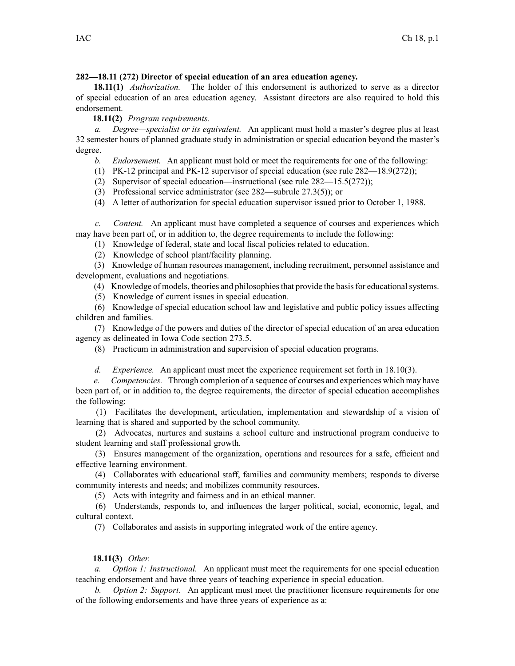## **282—18.11 (272) Director of special education of an area education agency.**

**18.11(1)** *Authorization.* The holder of this endorsement is authorized to serve as <sup>a</sup> director of special education of an area education agency. Assistant directors are also required to hold this endorsement.

**18.11(2)** *Program requirements.*

*a. Degree—specialist or its equivalent.* An applicant must hold <sup>a</sup> master's degree plus at least 32 semester hours of planned graduate study in administration or special education beyond the master's degree.

*b. Endorsement.* An applicant must hold or meet the requirements for one of the following:

(1) PK-12 principal and PK-12 supervisor of special education (see rule 282—18.9(272));

(2) Supervisor of special education—instructional (see rule 282—15.5(272));

(3) Professional service administrator (see 282—subrule 27.3(5)); or

(4) A letter of authorization for special education supervisor issued prior to October 1, 1988.

*c. Content.* An applicant must have completed <sup>a</sup> sequence of courses and experiences which may have been par<sup>t</sup> of, or in addition to, the degree requirements to include the following:

(1) Knowledge of federal, state and local fiscal policies related to education.

(2) Knowledge of school plant/facility planning.

(3) Knowledge of human resources management, including recruitment, personnel assistance and development, evaluations and negotiations.

(4) Knowledge of models, theories and philosophiesthat provide the basisfor educationalsystems.

(5) Knowledge of current issues in special education.

(6) Knowledge of special education school law and legislative and public policy issues affecting children and families.

(7) Knowledge of the powers and duties of the director of special education of an area education agency as delineated in Iowa Code section [273.5](https://www.legis.iowa.gov/docs/ico/section/273.5.pdf).

(8) Practicum in administration and supervision of special education programs.

*d. Experience.* An applicant must meet the experience requirement set forth in 18.10(3).

*e. Competencies.* Through completion of <sup>a</sup> sequence of courses and experiences which may have been par<sup>t</sup> of, or in addition to, the degree requirements, the director of special education accomplishes the following:

(1) Facilitates the development, articulation, implementation and stewardship of <sup>a</sup> vision of learning that is shared and supported by the school community.

(2) Advocates, nurtures and sustains <sup>a</sup> school culture and instructional program conducive to student learning and staff professional growth.

(3) Ensures managemen<sup>t</sup> of the organization, operations and resources for <sup>a</sup> safe, efficient and effective learning environment.

(4) Collaborates with educational staff, families and community members; responds to diverse community interests and needs; and mobilizes community resources.

(5) Acts with integrity and fairness and in an ethical manner.

(6) Understands, responds to, and influences the larger political, social, economic, legal, and cultural context.

(7) Collaborates and assists in supporting integrated work of the entire agency.

## **18.11(3)** *Other.*

*a. Option 1: Instructional.* An applicant must meet the requirements for one special education teaching endorsement and have three years of teaching experience in special education.

*<i>Option* 2: Support. An applicant must meet the practitioner licensure requirements for one of the following endorsements and have three years of experience as a: